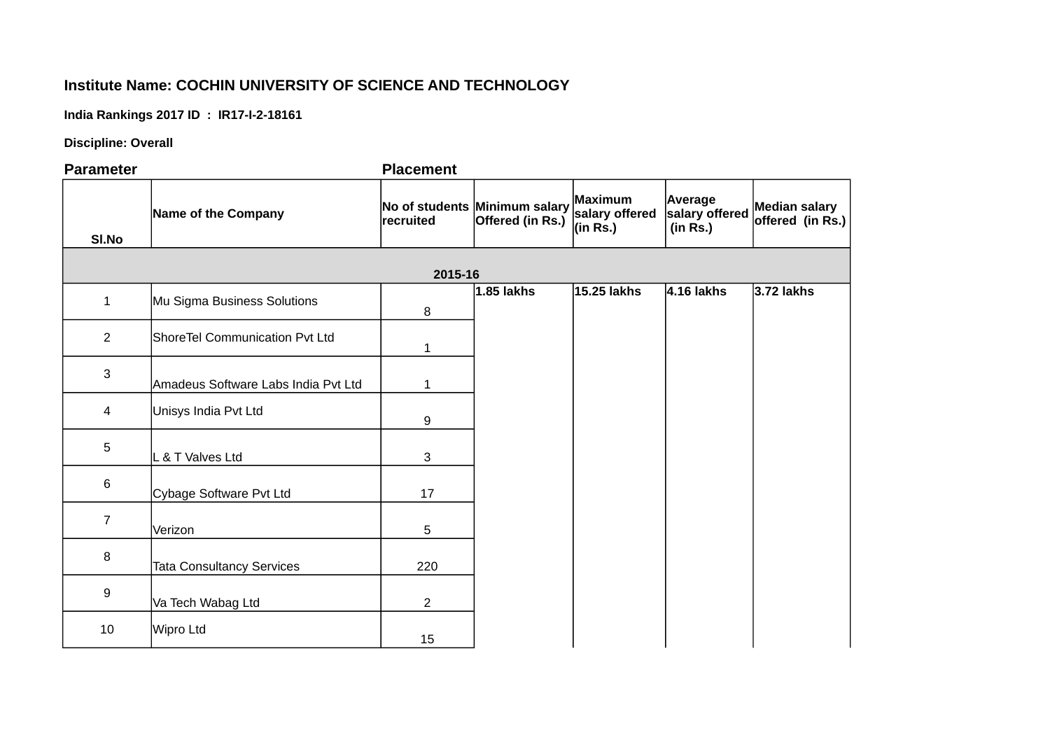## **Institute Name: COCHIN UNIVERSITY OF SCIENCE AND TECHNOLOGY**

**India Rankings 2017 ID : IR17-I-2-18161**

**Discipline: Overall**

**Parameter Placement Sl.No Name of the Company 2015-16** 1 Mu Sigma Business Solutions 8 **1.85 lakhs 15.25 lakhs 4.16 lakhs 3.72 lakhs** 2 ShoreTel Communication Pvt Ltd 1 3 Amadeus Software Labs India Pvt Ltd | 1 4 Unisys India Pvt Ltd 9 5 L & T Valves Ltd 3 6 Cybage Software Pvt Ltd 17 7 Verizon 5 8 Tata Consultancy Services **220** 9 Va Tech Wabag Ltd 2 10 Wipro Ltd 15 **No of students recruited Minimum salary Offered (in Rs.) Maximum salary offered (in Rs.) Average salary offered (in Rs.) Median salary offered (in Rs.)**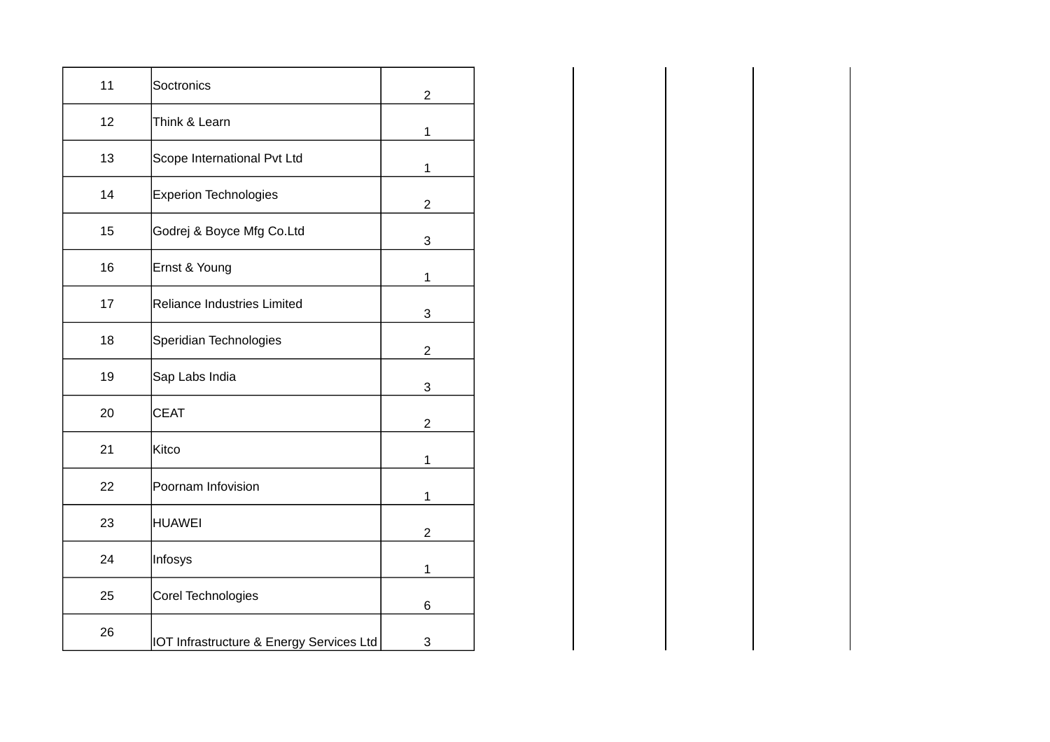| 11 | Soctronics                               | $2^{\circ}$    |
|----|------------------------------------------|----------------|
| 12 | Think & Learn                            | $\mathbf{1}$   |
| 13 | Scope International Pvt Ltd              | $\mathbf{1}$   |
| 14 | Experion Technologies                    | $\overline{2}$ |
| 15 | Godrej & Boyce Mfg Co.Ltd                | $\mathbf{3}$   |
| 16 | Ernst & Young                            | $\mathbf{1}$   |
| 17 | Reliance Industries Limited              | 3              |
| 18 | Speridian Technologies                   | $\overline{2}$ |
| 19 | Sap Labs India                           | $\mathbf{3}$   |
| 20 | <b>CEAT</b>                              | $2^{\circ}$    |
| 21 | Kitco                                    | $\mathbf{1}$   |
| 22 | Poornam Infovision                       | $\mathbf{1}$   |
| 23 | <b>HUAWEI</b>                            | $\overline{c}$ |
| 24 | Infosys                                  | $\mathbf{1}$   |
| 25 | Corel Technologies                       | $\,6\,$        |
| 26 | IOT Infrastructure & Energy Services Ltd | 3              |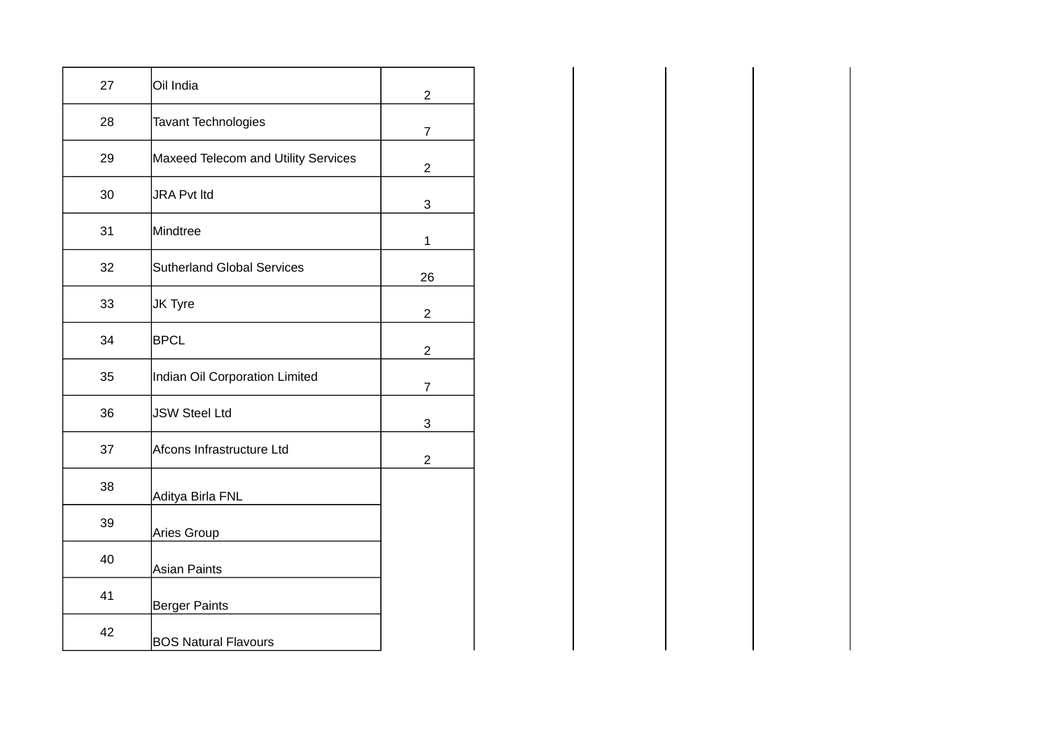| 27 | Oil India                           | $\overline{c}$ |
|----|-------------------------------------|----------------|
| 28 | <b>Tavant Technologies</b>          | $\overline{7}$ |
| 29 | Maxeed Telecom and Utility Services | $\overline{2}$ |
| 30 | <b>JRA Pvt ltd</b>                  | 3              |
| 31 | Mindtree                            | 1              |
| 32 | <b>Sutherland Global Services</b>   | 26             |
| 33 | JK Tyre                             | $\overline{c}$ |
| 34 | <b>BPCL</b>                         | $\overline{c}$ |
| 35 | Indian Oil Corporation Limited      | $\overline{7}$ |
| 36 | <b>JSW Steel Ltd</b>                | 3              |
| 37 | Afcons Infrastructure Ltd           | $\overline{c}$ |
| 38 | Aditya Birla FNL                    |                |
| 39 | Aries Group                         |                |
| 40 | <b>Asian Paints</b>                 |                |
| 41 | <b>Berger Paints</b>                |                |
| 42 | <b>BOS Natural Flavours</b>         |                |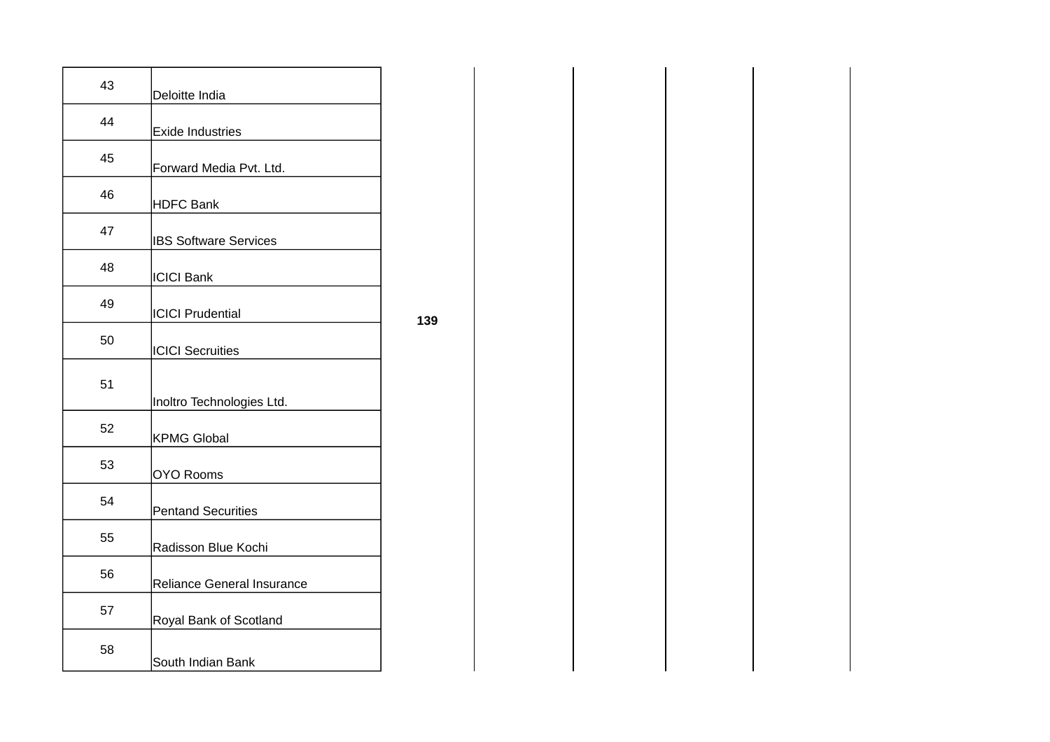| 43 | Deloitte India               |
|----|------------------------------|
| 44 | <b>Exide Industries</b>      |
| 45 | Forward Media Pvt. Ltd.      |
| 46 | <b>HDFC Bank</b>             |
| 47 | <b>IBS Software Services</b> |
| 48 | <b>ICICI Bank</b>            |
| 49 | <b>ICICI Prudential</b>      |
| 50 | <b>ICICI Secruities</b>      |
| 51 | Inoltro Technologies Ltd.    |
| 52 | <b>KPMG Global</b>           |
| 53 | <b>OYO Rooms</b>             |
| 54 | <b>Pentand Securities</b>    |
| 55 | Radisson Blue Kochi          |
| 56 | Reliance General Insurance   |
| 57 | Royal Bank of Scotland       |
| 58 | South Indian Bank            |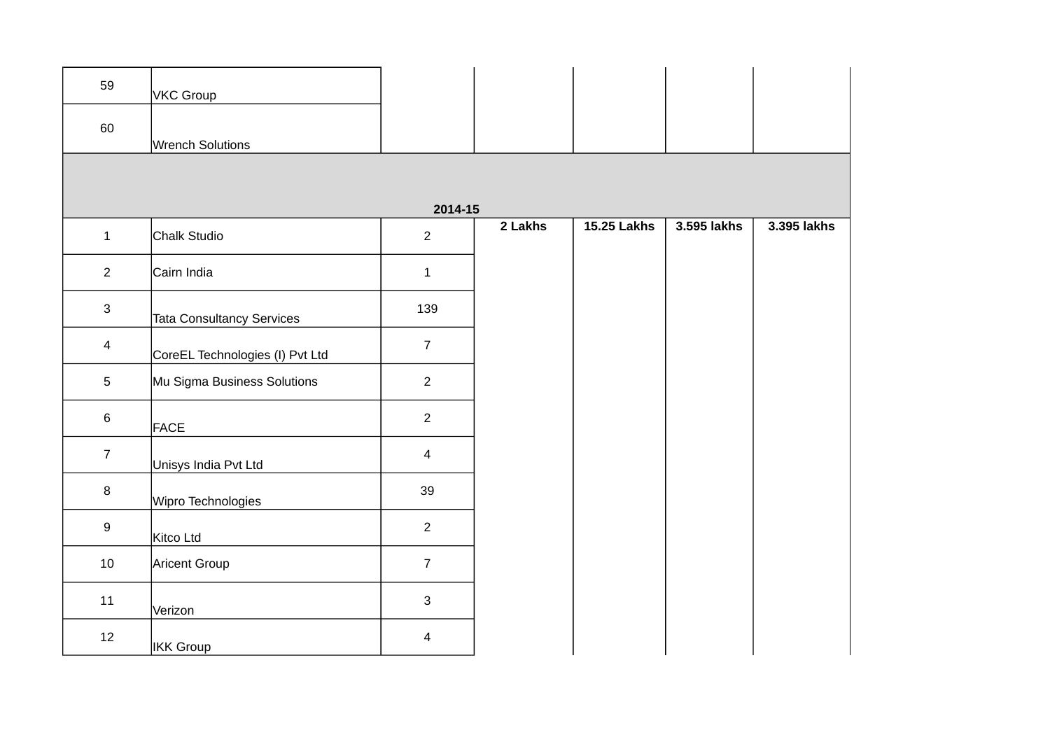| 59               | <b>VKC Group</b>                 |                |         |                    |             |             |
|------------------|----------------------------------|----------------|---------|--------------------|-------------|-------------|
| 60               | Wrench Solutions                 |                |         |                    |             |             |
|                  |                                  |                |         |                    |             |             |
|                  |                                  | 2014-15        |         |                    |             |             |
| $\mathbf{1}$     | Chalk Studio                     | $\overline{c}$ | 2 Lakhs | <b>15.25 Lakhs</b> | 3.595 lakhs | 3.395 lakhs |
| $\overline{2}$   | Cairn India                      | $1\,$          |         |                    |             |             |
| $\mathbf{3}$     | <b>Tata Consultancy Services</b> | 139            |         |                    |             |             |
| $\overline{4}$   | CoreEL Technologies (I) Pvt Ltd  | $\overline{7}$ |         |                    |             |             |
| $5\phantom{.0}$  | Mu Sigma Business Solutions      | $\overline{c}$ |         |                    |             |             |
| $\,6\,$          | <b>FACE</b>                      | $\overline{2}$ |         |                    |             |             |
| $\overline{7}$   | Unisys India Pvt Ltd             | $\overline{4}$ |         |                    |             |             |
| $\, 8$           | Wipro Technologies               | 39             |         |                    |             |             |
| $\boldsymbol{9}$ | Kitco Ltd                        | $\overline{2}$ |         |                    |             |             |
| 10               | Aricent Group                    | $\overline{7}$ |         |                    |             |             |
| $11\,$           | Verizon                          | $\mathbf{3}$   |         |                    |             |             |
| 12               | IKK Group                        | 4              |         |                    |             |             |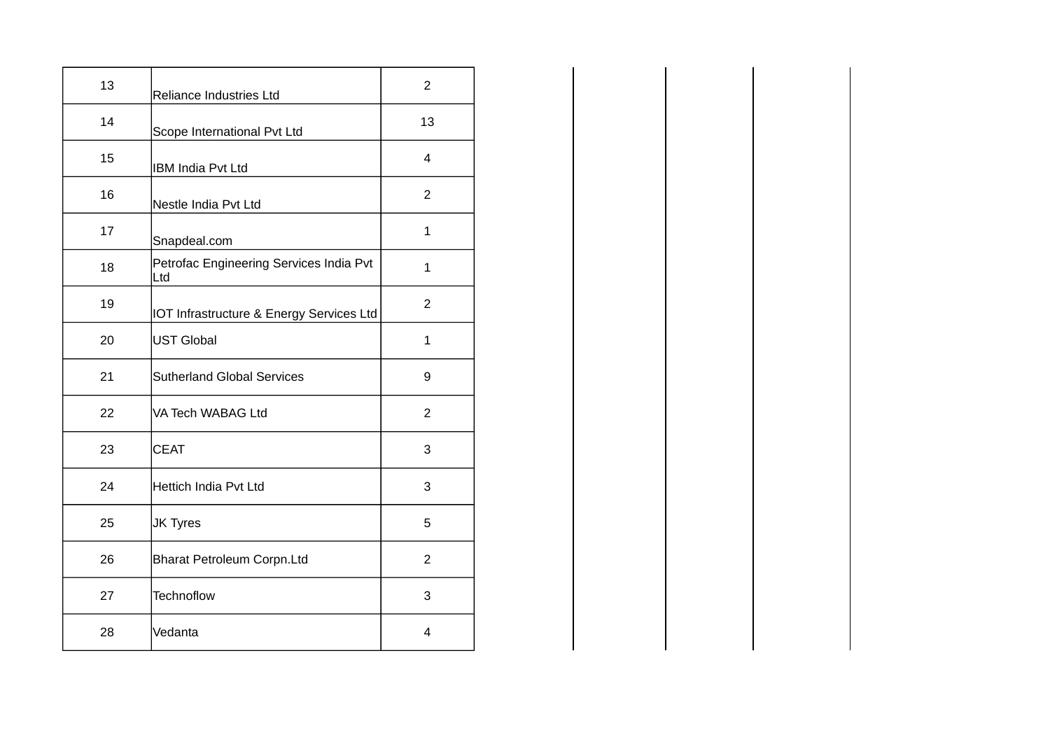| 13 | Reliance Industries Ltd                        | $\overline{2}$ |
|----|------------------------------------------------|----------------|
| 14 | Scope International Pvt Ltd                    | 13             |
| 15 | <b>IBM India Pvt Ltd</b>                       | 4              |
| 16 | Nestle India Pvt Ltd                           | $\overline{2}$ |
| 17 | Snapdeal.com                                   | $\mathbf{1}$   |
| 18 | Petrofac Engineering Services India Pvt<br>Ltd | $\mathbf{1}$   |
| 19 | IOT Infrastructure & Energy Services Ltd       | $\overline{c}$ |
| 20 | UST Global                                     | $\mathbf{1}$   |
| 21 | <b>Sutherland Global Services</b>              | 9              |
| 22 | VA Tech WABAG Ltd                              | $\overline{2}$ |
| 23 | <b>CEAT</b>                                    | 3              |
| 24 | Hettich India Pvt Ltd                          | 3              |
| 25 | <b>JK Tyres</b>                                | 5              |
| 26 | <b>Bharat Petroleum Corpn.Ltd</b>              | $\overline{2}$ |
| 27 | <b>Technoflow</b>                              | 3              |
| 28 | Vedanta                                        | 4              |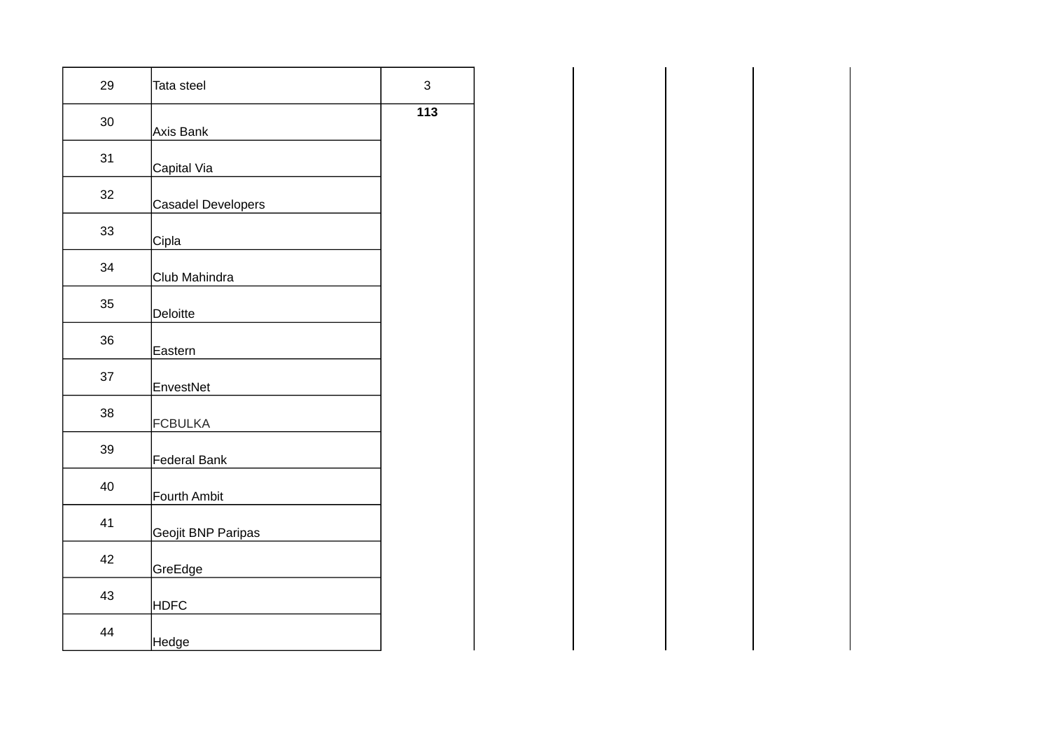| 29 | Tata steel         | 3   |
|----|--------------------|-----|
| 30 | <b>Axis Bank</b>   | 113 |
| 31 | Capital Via        |     |
| 32 | Casadel Developers |     |
| 33 | Cipla              |     |
| 34 | Club Mahindra      |     |
| 35 | <b>Deloitte</b>    |     |
| 36 | Eastern            |     |
| 37 | EnvestNet          |     |
| 38 | <b>FCBULKA</b>     |     |
| 39 | Federal Bank       |     |
| 40 | Fourth Ambit       |     |
| 41 | Geojit BNP Paripas |     |
| 42 | GreEdge            |     |
| 43 | <b>HDFC</b>        |     |
| 44 | Hedge              |     |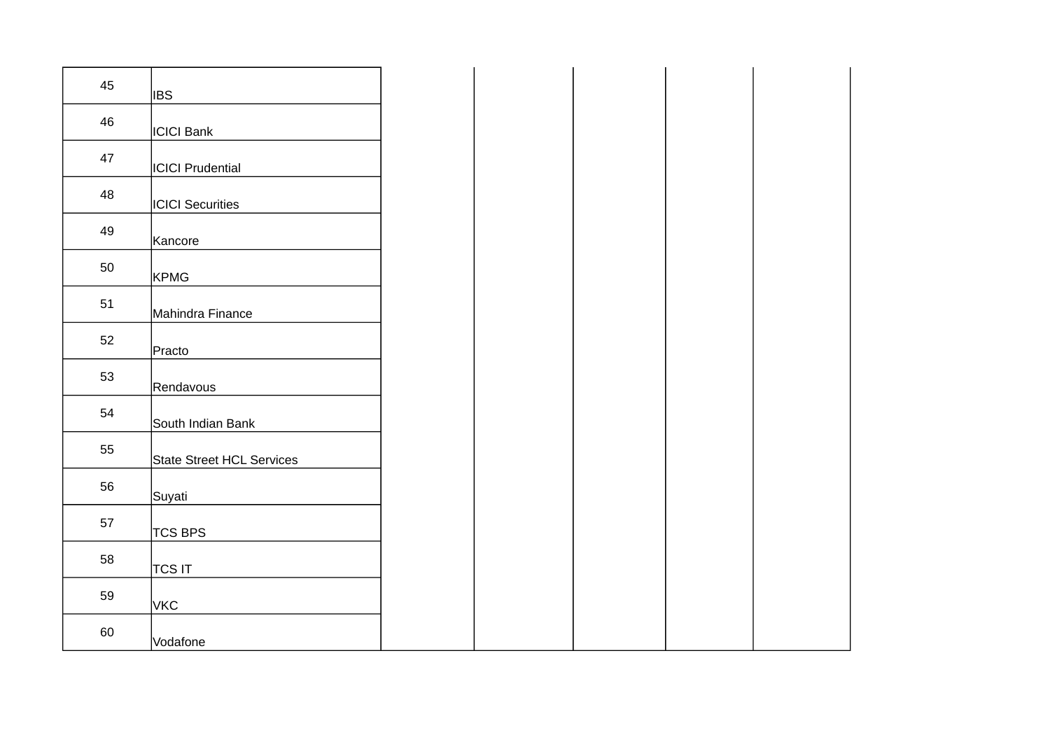| 45 | <b>IBS</b>                |  |  |
|----|---------------------------|--|--|
| 46 | <b>ICICI Bank</b>         |  |  |
| 47 | <b>ICICI Prudential</b>   |  |  |
| 48 | <b>ICICI</b> Securities   |  |  |
| 49 | Kancore                   |  |  |
| 50 | KPMG                      |  |  |
| 51 | Mahindra Finance          |  |  |
| 52 | Practo                    |  |  |
| 53 | Rendavous                 |  |  |
| 54 | South Indian Bank         |  |  |
| 55 | State Street HCL Services |  |  |
| 56 | Suyati                    |  |  |
| 57 | <b>TCS BPS</b>            |  |  |
| 58 | TCS IT                    |  |  |
| 59 | VKC                       |  |  |
| 60 | Vodafone                  |  |  |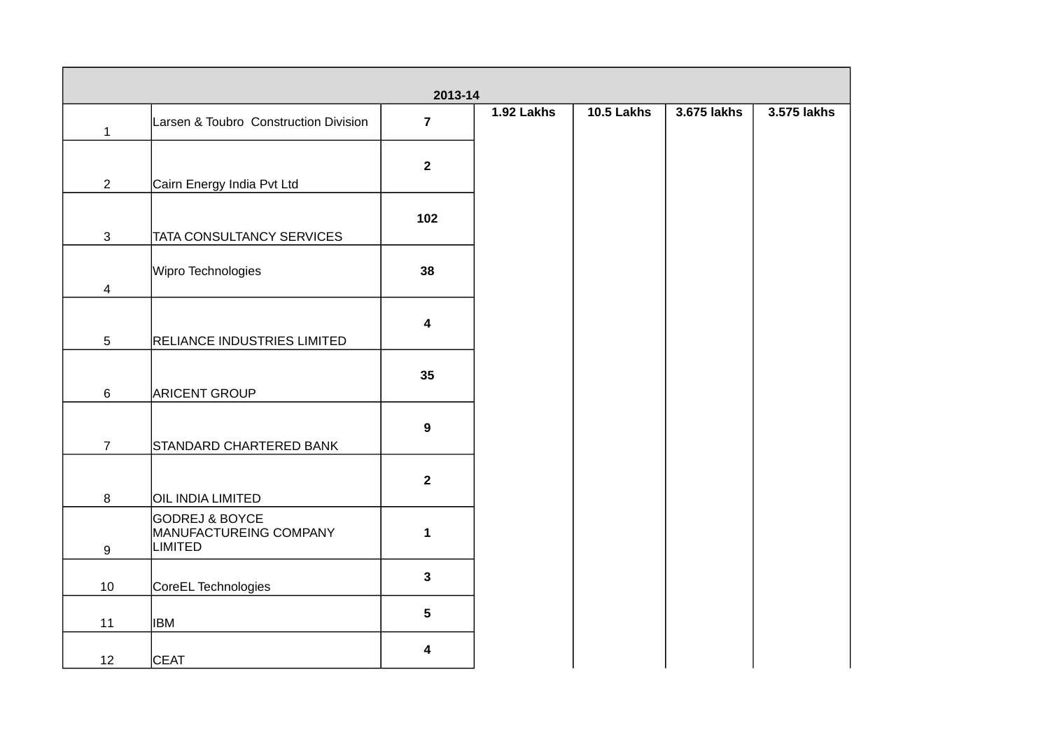|                 |                                                                       | 2013-14                 |            |            |             |             |
|-----------------|-----------------------------------------------------------------------|-------------------------|------------|------------|-------------|-------------|
| $\mathbf{1}$    | Larsen & Toubro Construction Division                                 | $\overline{7}$          | 1.92 Lakhs | 10.5 Lakhs | 3.675 lakhs | 3.575 lakhs |
|                 |                                                                       | $\overline{2}$          |            |            |             |             |
| $\overline{2}$  | Cairn Energy India Pvt Ltd                                            |                         |            |            |             |             |
| $\mathbf{3}$    | TATA CONSULTANCY SERVICES                                             | 102                     |            |            |             |             |
| $\overline{4}$  | Wipro Technologies                                                    | 38                      |            |            |             |             |
| $5\phantom{.0}$ | <b>RELIANCE INDUSTRIES LIMITED</b>                                    | $\overline{\mathbf{4}}$ |            |            |             |             |
| 6               | <b>ARICENT GROUP</b>                                                  | 35                      |            |            |             |             |
| $\overline{7}$  | STANDARD CHARTERED BANK                                               | $\mathbf{9}$            |            |            |             |             |
| 8               | OIL INDIA LIMITED                                                     | $\overline{2}$          |            |            |             |             |
| 9               | <b>GODREJ &amp; BOYCE</b><br>MANUFACTUREING COMPANY<br><b>LIMITED</b> | $\mathbf{1}$            |            |            |             |             |
| 10              | CoreEL Technologies                                                   | $\mathbf{3}$            |            |            |             |             |
| 11              | <b>IBM</b>                                                            | $5\phantom{.0}$         |            |            |             |             |
| 12              | <b>CEAT</b>                                                           | $\overline{\mathbf{4}}$ |            |            |             |             |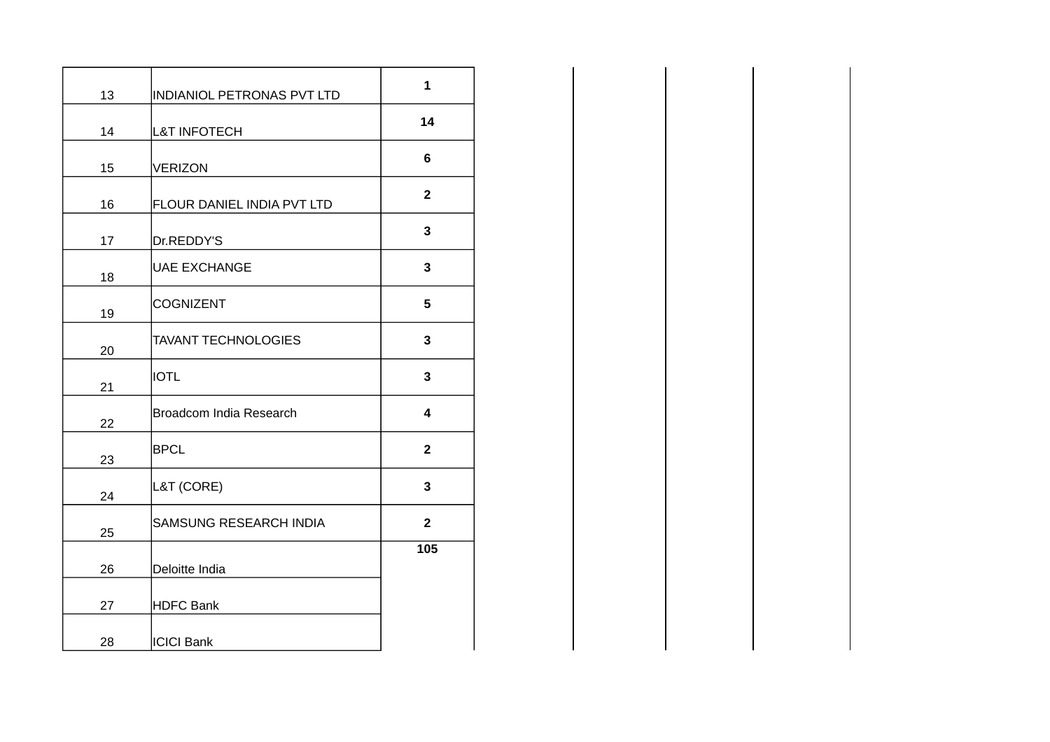|    |                            | $\mathbf{1}$    |
|----|----------------------------|-----------------|
| 13 | INDIANIOL PETRONAS PVT LTD |                 |
| 14 | <b>L&amp;T INFOTECH</b>    | 14              |
| 15 | VERIZON                    | $\bf 6$         |
| 16 | FLOUR DANIEL INDIA PVT LTD | $\overline{2}$  |
| 17 | Dr.REDDY'S                 | $\mathbf{3}$    |
| 18 | UAE EXCHANGE               | $\mathbf{3}$    |
| 19 | COGNIZENT                  | $5\phantom{.0}$ |
| 20 | <b>TAVANT TECHNOLOGIES</b> | $\mathbf{3}$    |
| 21 | <b>IOTL</b>                | $\mathbf{3}$    |
| 22 | Broadcom India Research    | 4               |
| 23 | <b>BPCL</b>                | $\mathbf{2}$    |
| 24 | L&T (CORE)                 | $\mathbf{3}$    |
| 25 | SAMSUNG RESEARCH INDIA     | $\overline{2}$  |
| 26 | Deloitte India             | 105             |
| 27 | HDFC Bank                  |                 |
|    |                            |                 |
| 28 | <b>ICICI Bank</b>          |                 |